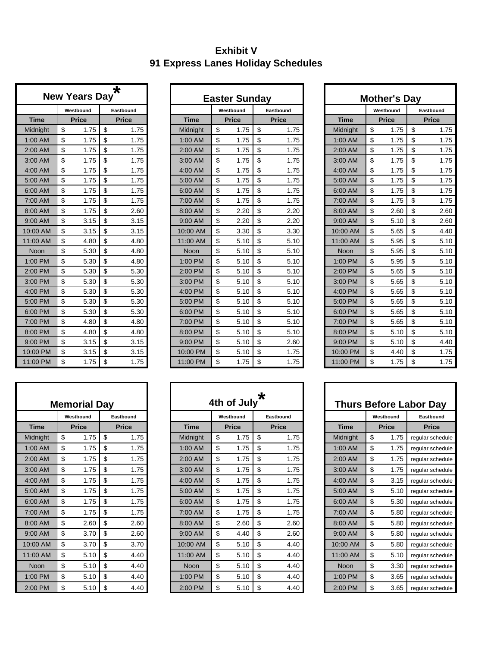## **Exhibit V 91 Express Lanes Holiday Schedules**

|             | <b>New Years Day</b> | $\star$      |
|-------------|----------------------|--------------|
|             | Westbound            | Eastbound    |
| <b>Time</b> | <b>Price</b>         | <b>Price</b> |
| Midnight    | \$<br>1.75           | \$<br>1.75   |
| 1:00 AM     | \$<br>1.75           | \$<br>1.75   |
| 2:00 AM     | \$<br>1.75           | \$<br>1.75   |
| 3:00 AM     | \$<br>1.75           | \$<br>1.75   |
| 4:00 AM     | \$<br>1.75           | \$<br>1.75   |
| 5:00 AM     | \$<br>1.75           | \$<br>1.75   |
| 6:00 AM     | \$<br>1.75           | \$<br>1.75   |
| 7:00 AM     | \$<br>1.75           | \$<br>1.75   |
| 8:00 AM     | \$<br>1.75           | \$<br>2.60   |
| 9:00 AM     | \$<br>3.15           | \$<br>3.15   |
| 10:00 AM    | \$<br>3.15           | \$<br>3.15   |
| 11:00 AM    | \$<br>4.80           | \$<br>4.80   |
| Noon        | \$<br>5.30           | \$<br>4.80   |
| 1:00 PM     | \$<br>5.30           | \$<br>4.80   |
| 2:00 PM     | \$<br>5.30           | \$<br>5.30   |
| 3:00 PM     | \$<br>5.30           | \$<br>5.30   |
| 4:00 PM     | \$<br>5.30           | \$<br>5.30   |
| 5:00 PM     | \$<br>5.30           | \$<br>5.30   |
| 6:00 PM     | \$<br>5.30           | \$<br>5.30   |
| 7:00 PM     | \$<br>4.80           | \$<br>4.80   |
| 8:00 PM     | \$<br>4.80           | \$<br>4.80   |
| 9:00 PM     | \$<br>3.15           | \$<br>3.15   |
| 10:00 PM    | \$<br>3.15           | \$<br>3.15   |
| 11:00 PM    | \$<br>1.75           | \$<br>1.75   |

|             | <b>Memorial Day</b> |              |             | 4th of July  |  |
|-------------|---------------------|--------------|-------------|--------------|--|
|             | Westbound           | Eastbound    |             | Westbound    |  |
| <b>Time</b> | <b>Price</b>        | <b>Price</b> | <b>Time</b> | <b>Price</b> |  |
| Midnight    | \$<br>1.75          | \$<br>1.75   | Midnight    | \$<br>1.75   |  |
| 1:00 AM     | \$<br>1.75          | \$<br>1.75   | 1:00 AM     | \$<br>1.75   |  |
| 2:00 AM     | \$<br>1.75          | \$<br>1.75   | 2:00 AM     | \$<br>1.75   |  |
| 3:00 AM     | \$<br>1.75          | \$<br>1.75   | 3:00 AM     | \$<br>1.75   |  |
| 4:00 AM     | \$<br>1.75          | \$<br>1.75   | 4:00 AM     | \$<br>1.75   |  |
| 5:00 AM     | \$<br>1.75          | \$<br>1.75   | 5:00 AM     | \$<br>1.75   |  |
| 6:00 AM     | \$<br>1.75          | \$<br>1.75   | 6:00 AM     | \$<br>1.75   |  |
| 7:00 AM     | \$<br>1.75          | \$<br>1.75   | 7:00 AM     | \$<br>1.75   |  |
| 8:00 AM     | \$<br>2.60          | \$<br>2.60   | 8:00 AM     | \$<br>2.60   |  |
| 9:00 AM     | \$<br>3.70          | \$<br>2.60   | 9:00 AM     | \$<br>4.40   |  |
| 10:00 AM    | \$<br>3.70          | \$<br>3.70   | 10:00 AM    | \$<br>5.10   |  |
| 11:00 AM    | \$<br>5.10          | \$<br>4.40   | 11:00 AM    | \$<br>5.10   |  |
| <b>Noon</b> | \$<br>5.10          | \$<br>4.40   | <b>Noon</b> | \$<br>5.10   |  |
| 1:00 PM     | \$<br>5.10          | \$<br>4.40   | 1:00 PM     | \$<br>5.10   |  |
| 2:00 PM     | \$<br>5.10          | \$<br>4.40   | 2:00 PM     | \$<br>5.10   |  |

|             | <b>New Years Day</b> | $\star$      |             | <b>Easter Sunday</b> |              |             | <b>Mother's Day</b> |              |
|-------------|----------------------|--------------|-------------|----------------------|--------------|-------------|---------------------|--------------|
|             | Westbound            | Eastbound    |             | Westbound            | Eastbound    |             | Westbound           | Eastbound    |
| <b>Time</b> | <b>Price</b>         | <b>Price</b> | <b>Time</b> | <b>Price</b>         | <b>Price</b> | <b>Time</b> | <b>Price</b>        | <b>Price</b> |
| Midnight    | \$<br>1.75           | \$<br>1.75   | Midnight    | \$<br>1.75           | \$<br>1.75   | Midnight    | \$<br>1.75          | \$<br>1.75   |
| 1:00 AM     | \$<br>1.75           | \$<br>1.75   | $1:00$ AM   | \$<br>1.75           | \$<br>1.75   | $1:00$ AM   | \$<br>1.75          | \$<br>1.75   |
| 2:00 AM     | \$<br>1.75           | \$<br>1.75   | 2:00 AM     | \$<br>1.75           | \$<br>1.75   | 2:00 AM     | \$<br>1.75          | \$<br>1.75   |
| 3:00 AM     | \$<br>1.75           | \$<br>1.75   | 3:00 AM     | \$<br>1.75           | \$<br>1.75   | 3:00 AM     | \$<br>1.75          | \$<br>1.75   |
| 4:00 AM     | \$<br>1.75           | \$<br>1.75   | 4:00 AM     | \$<br>1.75           | \$<br>1.75   | 4:00 AM     | \$<br>1.75          | \$<br>1.75   |
| 5:00 AM     | \$<br>1.75           | \$<br>1.75   | 5:00 AM     | \$<br>1.75           | \$<br>1.75   | 5:00 AM     | \$<br>1.75          | \$<br>1.75   |
| 6:00 AM     | \$<br>1.75           | \$<br>1.75   | 6:00 AM     | \$<br>1.75           | \$<br>1.75   | 6:00 AM     | \$<br>1.75          | \$<br>1.75   |
| 7:00 AM     | \$<br>1.75           | \$<br>1.75   | 7:00 AM     | \$<br>1.75           | \$<br>1.75   | 7:00 AM     | \$<br>1.75          | \$<br>1.75   |
| 8:00 AM     | \$<br>1.75           | \$<br>2.60   | 8:00 AM     | \$<br>2.20           | \$<br>2.20   | 8:00 AM     | \$<br>2.60          | \$<br>2.60   |
| 9:00 AM     | \$<br>3.15           | \$<br>3.15   | 9:00 AM     | \$<br>2.20           | \$<br>2.20   | 9:00 AM     | \$<br>5.10          | \$<br>2.60   |
| 10:00 AM    | \$<br>3.15           | \$<br>3.15   | 10:00 AM    | \$<br>3.30           | \$<br>3.30   | 10:00 AM    | \$<br>5.65          | \$<br>4.40   |
| 11:00 AM    | \$<br>4.80           | \$<br>4.80   | 11:00 AM    | \$<br>5.10           | \$<br>5.10   | 11:00 AM    | \$<br>5.95          | \$<br>5.10   |
| Noon        | \$<br>5.30           | \$<br>4.80   | <b>Noon</b> | \$<br>5.10           | \$<br>5.10   | <b>Noon</b> | \$<br>5.95          | \$<br>5.10   |
| 1:00 PM     | \$<br>5.30           | \$<br>4.80   | 1:00 PM     | \$<br>5.10           | \$<br>5.10   | 1:00 PM     | \$<br>5.95          | \$<br>5.10   |
| 2:00 PM     | \$<br>5.30           | \$<br>5.30   | 2:00 PM     | \$<br>5.10           | \$<br>5.10   | 2:00 PM     | \$<br>5.65          | \$<br>5.10   |
| 3:00 PM     | \$<br>5.30           | \$<br>5.30   | 3:00 PM     | \$<br>5.10           | \$<br>5.10   | $3:00$ PM   | \$<br>5.65          | \$<br>5.10   |
| 4:00 PM     | \$<br>5.30           | \$<br>5.30   | 4:00 PM     | \$<br>5.10           | \$<br>5.10   | 4:00 PM     | \$<br>5.65          | \$<br>5.10   |
| 5:00 PM     | \$<br>5.30           | \$<br>5.30   | 5:00 PM     | \$<br>5.10           | \$<br>5.10   | 5:00 PM     | \$<br>5.65          | \$<br>5.10   |
| 6:00 PM     | \$<br>5.30           | \$<br>5.30   | 6:00 PM     | \$<br>5.10           | \$<br>5.10   | 6:00 PM     | \$<br>5.65          | \$<br>5.10   |
| 7:00 PM     | \$<br>4.80           | \$<br>4.80   | 7:00 PM     | \$<br>5.10           | \$<br>5.10   | 7:00 PM     | \$<br>5.65          | \$<br>5.10   |
| 8:00 PM     | \$<br>4.80           | \$<br>4.80   | 8:00 PM     | \$<br>5.10           | \$<br>5.10   | 8:00 PM     | \$<br>5.10          | \$<br>5.10   |
| 9:00 PM     | \$<br>3.15           | \$<br>3.15   | 9:00 PM     | \$<br>5.10           | \$<br>2.60   | 9:00 PM     | \$<br>5.10          | \$<br>4.40   |
| 10:00 PM    | \$<br>3.15           | \$<br>3.15   | 10:00 PM    | \$<br>5.10           | \$<br>1.75   | 10:00 PM    | \$<br>4.40          | \$<br>1.75   |
| 11:00 PM    | \$<br>1.75           | \$<br>1.75   | 11:00 PM    | \$<br>1.75           | \$<br>1.75   | 11:00 PM    | \$<br>1.75          | \$<br>1.75   |

|             | <b>Memorial Day</b><br>Westbound<br>Eastbound |              |    |              | ∗<br>4th of July |             |    |              |    |              |  |           |              | <b>Thurs Before Labor Day</b> |
|-------------|-----------------------------------------------|--------------|----|--------------|------------------|-------------|----|--------------|----|--------------|--|-----------|--------------|-------------------------------|
|             |                                               |              |    |              |                  |             |    | Westbound    |    | Eastbound    |  |           | Westbound    | Eastbound                     |
| <b>Time</b> |                                               | <b>Price</b> |    | <b>Price</b> |                  | <b>Time</b> |    | <b>Price</b> |    | <b>Price</b> |  | Time      | <b>Price</b> | <b>Price</b>                  |
| Midnight    | \$                                            | 1.75         | \$ | 1.75         |                  | Midnight    | \$ | 1.75         | \$ | 1.75         |  | Midnight  | \$<br>1.75   | regular schedule              |
| 1:00 AM     | \$                                            | 1.75         | \$ | 1.75         |                  | 1:00 AM     | \$ | 1.75         | \$ | 1.75         |  | $1:00$ AM | \$<br>1.75   | regular schedule              |
| 2:00 AM     | \$                                            | 1.75         | \$ | 1.75         |                  | 2:00 AM     | \$ | 1.75         | \$ | 1.75         |  | 2:00 AM   | \$<br>1.75   | reqular schedule              |
| 3:00 AM     | \$                                            | 1.75         | \$ | 1.75         |                  | 3:00 AM     | \$ | 1.75         | \$ | 1.75         |  | 3:00 AM   | \$<br>1.75   | reqular schedule              |
| 4:00 AM     | \$                                            | 1.75         | \$ | 1.75         |                  | 4:00 AM     | \$ | 1.75         | \$ | 1.75         |  | $4:00$ AM | \$<br>3.15   | reqular schedule              |
| 5:00 AM     | \$                                            | 1.75         | \$ | 1.75         |                  | 5:00 AM     | \$ | 1.75         | \$ | 1.75         |  | 5:00 AM   | \$<br>5.10   | reqular schedule              |
| 6:00 AM     | \$                                            | 1.75         | \$ | 1.75         |                  | 6:00 AM     | \$ | 1.75         | \$ | 1.75         |  | 6:00 AM   | \$<br>5.30   | reqular schedule              |
| 7:00 AM     | \$                                            | 1.75         | \$ | 1.75         |                  | 7:00 AM     | \$ | 1.75         | \$ | 1.75         |  | 7:00 AM   | \$<br>5.80   | reqular schedule              |
| 8:00 AM     | \$                                            | 2.60         | \$ | 2.60         |                  | 8:00 AM     | \$ | 2.60         | \$ | 2.60         |  | 8:00 AM   | \$<br>5.80   | regular schedule              |
| 9:00 AM     | \$                                            | 3.70         | \$ | 2.60         |                  | 9:00 AM     | \$ | 4.40         | \$ | 2.60         |  | 9:00 AM   | \$<br>5.80   | regular schedule              |
| 10:00 AM    | \$                                            | 3.70         | \$ | 3.70         |                  | 10:00 AM    | \$ | 5.10         | \$ | 4.40         |  | 10:00 AM  | \$<br>5.80   | regular schedule              |
| 11:00 AM    | \$                                            | 5.10         | \$ | 4.40         |                  | 11:00 AM    | \$ | 5.10         | \$ | 4.40         |  | 11:00 AM  | \$<br>5.10   | regular schedule              |
| Noon        | \$                                            | 5.10         | \$ | 4.40         |                  | <b>Noon</b> | \$ | 5.10         | \$ | 4.40         |  | Noon      | \$<br>3.30   | reqular schedule              |
| 1:00 PM     | \$                                            | 5.10         | \$ | 4.40         |                  | 1:00 PM     | \$ | 5.10         | \$ | 4.40         |  | 1:00 PM   | \$<br>3.65   | reqular schedule              |
| 2:00 PM     | \$                                            | 5.10         | \$ | 4.40         |                  | 2:00 PM     | \$ | 5.10         | \$ | 4.40         |  | 2:00 PM   | \$<br>3.65   | regular schedule              |

|             | Mother's Day |              |    |              |  |  |  |  |  |  |  |  |  |
|-------------|--------------|--------------|----|--------------|--|--|--|--|--|--|--|--|--|
|             |              | Westbound    |    | Eastbound    |  |  |  |  |  |  |  |  |  |
| <b>Time</b> |              | <b>Price</b> |    | <b>Price</b> |  |  |  |  |  |  |  |  |  |
| Midnight    | \$           | 1.75         | \$ | 1.75         |  |  |  |  |  |  |  |  |  |
| 1:00 AM     | \$           | 1.75         | \$ | 1.75         |  |  |  |  |  |  |  |  |  |
| 2:00 AM     | \$           | 1.75         | \$ | 1.75         |  |  |  |  |  |  |  |  |  |
| 3:00 AM     | \$           | 1.75         | \$ | 1.75         |  |  |  |  |  |  |  |  |  |
| 4:00 AM     | \$           | 1.75         | \$ | 1.75         |  |  |  |  |  |  |  |  |  |
| 5:00 AM     | \$           | 1.75         | \$ | 1.75         |  |  |  |  |  |  |  |  |  |
| 6:00 AM     | \$           | 1.75         | \$ | 1.75         |  |  |  |  |  |  |  |  |  |
| 7:00 AM     | \$           | 1.75         | \$ | 1.75         |  |  |  |  |  |  |  |  |  |
| 8:00 AM     | \$           | 2.60         | \$ | 2.60         |  |  |  |  |  |  |  |  |  |
| 9:00 AM     | \$           | 5.10         | \$ | 2.60         |  |  |  |  |  |  |  |  |  |
| 10:00 AM    | \$           | 5.65         | \$ | 4.40         |  |  |  |  |  |  |  |  |  |
| 11:00 AM    | \$           | 5.95         | \$ | 5.10         |  |  |  |  |  |  |  |  |  |
| Noon        | \$           | 5.95         | \$ | 5.10         |  |  |  |  |  |  |  |  |  |
| 1:00 PM     | \$           | 5.95         | \$ | 5.10         |  |  |  |  |  |  |  |  |  |
| 2:00 PM     | \$           | 5.65         | \$ | 5.10         |  |  |  |  |  |  |  |  |  |
| 3:00 PM     | \$           | 5.65         | \$ | 5.10         |  |  |  |  |  |  |  |  |  |
| 4:00 PM     | \$           | 5.65         | \$ | 5.10         |  |  |  |  |  |  |  |  |  |
| 5:00 PM     | \$           | 5.65         | \$ | 5.10         |  |  |  |  |  |  |  |  |  |
| 6:00 PM     | \$           | 5.65         | \$ | 5.10         |  |  |  |  |  |  |  |  |  |
| 7:00 PM     | \$           | 5.65         | \$ | 5.10         |  |  |  |  |  |  |  |  |  |
| 8:00 PM     | \$           | 5.10         | \$ | 5.10         |  |  |  |  |  |  |  |  |  |
| 9:00 PM     | \$           | 5.10         | \$ | 4.40         |  |  |  |  |  |  |  |  |  |
| 10:00 PM    | \$           | 4.40         | \$ | 1.75         |  |  |  |  |  |  |  |  |  |
| 11:00 PM    | \$           | 1.75         | \$ | 1.75         |  |  |  |  |  |  |  |  |  |

|             | <b>Thurs Before Labor Day</b> |                  |  |  |  |  |  |  |  |  |  |  |  |
|-------------|-------------------------------|------------------|--|--|--|--|--|--|--|--|--|--|--|
|             | Westbound                     | Eastbound        |  |  |  |  |  |  |  |  |  |  |  |
| <b>Time</b> | <b>Price</b>                  | <b>Price</b>     |  |  |  |  |  |  |  |  |  |  |  |
| Midnight    | 1.75<br>\$                    | regular schedule |  |  |  |  |  |  |  |  |  |  |  |
| 1:00 AM     | \$<br>1.75                    | regular schedule |  |  |  |  |  |  |  |  |  |  |  |
| 2:00 AM     | 1.75<br>\$                    | regular schedule |  |  |  |  |  |  |  |  |  |  |  |
| 3:00 AM     | 1.75<br>\$                    | regular schedule |  |  |  |  |  |  |  |  |  |  |  |
| $4:00$ AM   | \$<br>3.15                    | regular schedule |  |  |  |  |  |  |  |  |  |  |  |
| 5:00 AM     | \$<br>5.10                    | regular schedule |  |  |  |  |  |  |  |  |  |  |  |
| 6:00 AM     | 5.30<br>\$                    | regular schedule |  |  |  |  |  |  |  |  |  |  |  |
| 7:00 AM     | \$<br>5.80                    | regular schedule |  |  |  |  |  |  |  |  |  |  |  |
| 8:00 AM     | \$<br>5.80                    | regular schedule |  |  |  |  |  |  |  |  |  |  |  |
| $9:00$ AM   | \$<br>5.80                    | regular schedule |  |  |  |  |  |  |  |  |  |  |  |
| 10:00 AM    | \$<br>5.80                    | regular schedule |  |  |  |  |  |  |  |  |  |  |  |
| 11:00 AM    | \$<br>5.10                    | regular schedule |  |  |  |  |  |  |  |  |  |  |  |
| Noon        | \$<br>3.30                    | regular schedule |  |  |  |  |  |  |  |  |  |  |  |
| 1:00 PM     | \$<br>3.65                    | regular schedule |  |  |  |  |  |  |  |  |  |  |  |
| 2:00 PM     | \$<br>3.65                    | regular schedule |  |  |  |  |  |  |  |  |  |  |  |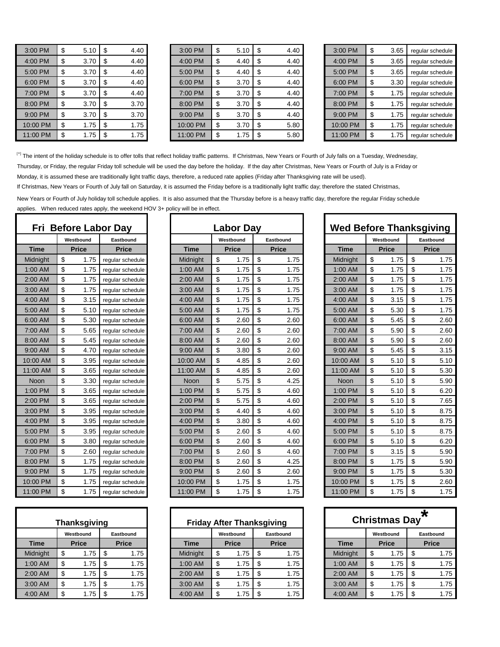| 3:00 PM  | \$<br>5.10 | \$<br>4.40 |
|----------|------------|------------|
| 4:00 PM  | \$<br>3.70 | \$<br>4.40 |
| 5:00 PM  | \$<br>3.70 | \$<br>4.40 |
| 6:00 PM  | \$<br>3.70 | \$<br>4.40 |
| 7:00 PM  | \$<br>3.70 | \$<br>4.40 |
| 8:00 PM  | \$<br>3.70 | \$<br>3.70 |
| 9:00 PM  | \$<br>3.70 | \$<br>3.70 |
| 10:00 PM | \$<br>1.75 | \$<br>1.75 |
| 11:00 PM | \$<br>1.75 | \$<br>1.75 |

| 3:00 PM  | 5.10 | SS. | 4.40 | 3:00 PM  |    | 5.10 |     | 4.40 | 3:00 PM  | 3.65 | reqular schedule |
|----------|------|-----|------|----------|----|------|-----|------|----------|------|------------------|
| 4:00 PM  | 3.70 |     | 4.40 | 4:00 PM  | S  | 4.40 |     | 4.40 | 4:00 PM  | 3.65 | reqular schedule |
| 5:00 PM  | 3.70 |     | 4.40 | 5:00 PM  |    | 4.40 |     | 4.40 | 5:00 PM  | 3.65 | reqular schedule |
| 6:00 PM  | 3.70 |     | 4.40 | 6:00 PM  |    | 3.70 |     | 4.40 | 6:00 PM  | 3.30 | reqular schedule |
| 7:00 PM  | 3.70 |     | 4.40 | 7:00 PM  |    | 3.70 |     | 4.40 | 7:00 PM  | 1.75 | reqular schedule |
| 8:00 PM  | 3.70 | S   | 3.70 | 8:00 PM  | \$ | 3.70 | \$. | 4.40 | 8:00 PM  | 1.75 | reqular schedule |
| 9:00 PM  | 3.70 |     | 3.70 | 9:00 PM  |    | 3.70 |     | 4.40 | 9:00 PM  | 1.75 | reqular schedule |
| 10:00 PM | 1.75 |     | 1.75 | 10:00 PM |    | 3.70 |     | 5.80 | 10:00 PM | 1.75 | regular schedule |
| 11:00 PM | l.75 | S   | 1.75 | 11:00 PM | \$ | 1.75 |     | 5.80 | 11:00 PM | 1.75 | reqular schedule |

| 3:00 PM  | \$  | 3.65 | reqular schedule |
|----------|-----|------|------------------|
| 4:00 PM  | \$  | 3.65 | reqular schedule |
| 5:00 PM  | \$  | 3.65 | regular schedule |
| 6:00 PM  | \$  | 3.30 | regular schedule |
| 7:00 PM  | \$  | 1.75 | regular schedule |
| 8:00 PM  | \$  | 1.75 | regular schedule |
| 9:00 PM  | \$  | 1.75 | reqular schedule |
| 10:00 PM | \$  | 1.75 | reqular schedule |
| 11:00 PM | \$. | 1.75 | regular schedule |

[\*] The intent of the holiday schedule is to offer tolls that reflect holiday traffic patterns. If Christmas, New Years or Fourth of July falls on a Tuesday, Wednesday,

Thursday, or Friday, the regular Friday toll schedule will be used the day before the holiday. If the day after Christmas, New Years or Fourth of July is a Friday or

Monday, it is assumed these are traditionally light traffic days, therefore, a reduced rate applies (Friday after Thanksgiving rate will be used).

If Christmas, New Years or Fourth of July fall on Saturday, it is assumed the Friday before is a traditionally light traffic day; therefore the stated Christmas,

New Years or Fourth of July holiday toll schedule applies. It is also assumed that the Thursday before is a heavy traffic day, therefore the regular Friday schedule applies. When reduced rates apply, the weekend HOV 3+ policy will be in effect.

| Fri      | <b>Before Labor Day</b><br>Westbound<br>Eastbound<br><b>Time</b><br><b>Price</b><br><b>Price</b><br>\$<br>Midnight<br>1.75<br>reqular schedule<br>\$<br>1:00 AM<br>1.75<br>regular schedule<br>\$<br>2:00 AM<br>1.75<br>regular schedule<br>\$<br>1.75<br>3:00 AM<br>regular schedule<br>\$<br>3.15<br>4:00 AM<br>regular schedule<br>\$<br>5.10<br>5:00 AM<br>regular schedule<br>\$<br>6:00 AM<br>5.30<br>regular schedule<br>\$<br>7:00 AM<br>5.65<br>regular schedule<br>\$<br>5.45<br>8:00 AM<br>regular schedule<br>\$<br>4.70<br>9:00 AM<br>regular schedule<br>\$<br>10:00 AM<br>3.95<br>regular schedule<br>\$<br>11:00 AM<br>3.65<br>regular schedule<br>\$<br>3.30<br>Noon<br>regular schedule<br>\$<br>1:00 PM<br>3.65<br>regular schedule<br>\$<br>3.65<br>2:00 PM<br>regular schedule<br>\$<br>3:00 PM<br>3.95<br>regular schedule<br>\$<br>4:00 PM<br>3.95<br>regular schedule<br>\$<br>5:00 PM<br>3.95<br>regular schedule<br>\$<br>6:00 PM<br>3.80<br>regular schedule<br>\$<br>7:00 PM<br>2.60<br>regular schedule<br>\$<br>8:00 PM<br>1.75<br>regular schedule |      |                  |  |  |  |  |  |  |  |  |
|----------|-----------------------------------------------------------------------------------------------------------------------------------------------------------------------------------------------------------------------------------------------------------------------------------------------------------------------------------------------------------------------------------------------------------------------------------------------------------------------------------------------------------------------------------------------------------------------------------------------------------------------------------------------------------------------------------------------------------------------------------------------------------------------------------------------------------------------------------------------------------------------------------------------------------------------------------------------------------------------------------------------------------------------------------------------------------------------------------|------|------------------|--|--|--|--|--|--|--|--|
|          |                                                                                                                                                                                                                                                                                                                                                                                                                                                                                                                                                                                                                                                                                                                                                                                                                                                                                                                                                                                                                                                                                   |      |                  |  |  |  |  |  |  |  |  |
|          |                                                                                                                                                                                                                                                                                                                                                                                                                                                                                                                                                                                                                                                                                                                                                                                                                                                                                                                                                                                                                                                                                   |      |                  |  |  |  |  |  |  |  |  |
|          |                                                                                                                                                                                                                                                                                                                                                                                                                                                                                                                                                                                                                                                                                                                                                                                                                                                                                                                                                                                                                                                                                   |      |                  |  |  |  |  |  |  |  |  |
|          |                                                                                                                                                                                                                                                                                                                                                                                                                                                                                                                                                                                                                                                                                                                                                                                                                                                                                                                                                                                                                                                                                   |      |                  |  |  |  |  |  |  |  |  |
|          |                                                                                                                                                                                                                                                                                                                                                                                                                                                                                                                                                                                                                                                                                                                                                                                                                                                                                                                                                                                                                                                                                   |      |                  |  |  |  |  |  |  |  |  |
|          |                                                                                                                                                                                                                                                                                                                                                                                                                                                                                                                                                                                                                                                                                                                                                                                                                                                                                                                                                                                                                                                                                   |      |                  |  |  |  |  |  |  |  |  |
|          |                                                                                                                                                                                                                                                                                                                                                                                                                                                                                                                                                                                                                                                                                                                                                                                                                                                                                                                                                                                                                                                                                   |      |                  |  |  |  |  |  |  |  |  |
|          |                                                                                                                                                                                                                                                                                                                                                                                                                                                                                                                                                                                                                                                                                                                                                                                                                                                                                                                                                                                                                                                                                   |      |                  |  |  |  |  |  |  |  |  |
|          |                                                                                                                                                                                                                                                                                                                                                                                                                                                                                                                                                                                                                                                                                                                                                                                                                                                                                                                                                                                                                                                                                   |      |                  |  |  |  |  |  |  |  |  |
|          |                                                                                                                                                                                                                                                                                                                                                                                                                                                                                                                                                                                                                                                                                                                                                                                                                                                                                                                                                                                                                                                                                   |      |                  |  |  |  |  |  |  |  |  |
|          |                                                                                                                                                                                                                                                                                                                                                                                                                                                                                                                                                                                                                                                                                                                                                                                                                                                                                                                                                                                                                                                                                   |      |                  |  |  |  |  |  |  |  |  |
|          |                                                                                                                                                                                                                                                                                                                                                                                                                                                                                                                                                                                                                                                                                                                                                                                                                                                                                                                                                                                                                                                                                   |      |                  |  |  |  |  |  |  |  |  |
|          |                                                                                                                                                                                                                                                                                                                                                                                                                                                                                                                                                                                                                                                                                                                                                                                                                                                                                                                                                                                                                                                                                   |      |                  |  |  |  |  |  |  |  |  |
|          |                                                                                                                                                                                                                                                                                                                                                                                                                                                                                                                                                                                                                                                                                                                                                                                                                                                                                                                                                                                                                                                                                   |      |                  |  |  |  |  |  |  |  |  |
|          |                                                                                                                                                                                                                                                                                                                                                                                                                                                                                                                                                                                                                                                                                                                                                                                                                                                                                                                                                                                                                                                                                   |      |                  |  |  |  |  |  |  |  |  |
|          |                                                                                                                                                                                                                                                                                                                                                                                                                                                                                                                                                                                                                                                                                                                                                                                                                                                                                                                                                                                                                                                                                   |      |                  |  |  |  |  |  |  |  |  |
|          |                                                                                                                                                                                                                                                                                                                                                                                                                                                                                                                                                                                                                                                                                                                                                                                                                                                                                                                                                                                                                                                                                   |      |                  |  |  |  |  |  |  |  |  |
|          |                                                                                                                                                                                                                                                                                                                                                                                                                                                                                                                                                                                                                                                                                                                                                                                                                                                                                                                                                                                                                                                                                   |      |                  |  |  |  |  |  |  |  |  |
|          |                                                                                                                                                                                                                                                                                                                                                                                                                                                                                                                                                                                                                                                                                                                                                                                                                                                                                                                                                                                                                                                                                   |      |                  |  |  |  |  |  |  |  |  |
|          |                                                                                                                                                                                                                                                                                                                                                                                                                                                                                                                                                                                                                                                                                                                                                                                                                                                                                                                                                                                                                                                                                   |      |                  |  |  |  |  |  |  |  |  |
|          |                                                                                                                                                                                                                                                                                                                                                                                                                                                                                                                                                                                                                                                                                                                                                                                                                                                                                                                                                                                                                                                                                   |      |                  |  |  |  |  |  |  |  |  |
|          |                                                                                                                                                                                                                                                                                                                                                                                                                                                                                                                                                                                                                                                                                                                                                                                                                                                                                                                                                                                                                                                                                   |      |                  |  |  |  |  |  |  |  |  |
|          |                                                                                                                                                                                                                                                                                                                                                                                                                                                                                                                                                                                                                                                                                                                                                                                                                                                                                                                                                                                                                                                                                   |      |                  |  |  |  |  |  |  |  |  |
| 9:00 PM  | \$                                                                                                                                                                                                                                                                                                                                                                                                                                                                                                                                                                                                                                                                                                                                                                                                                                                                                                                                                                                                                                                                                | 1.75 | regular schedule |  |  |  |  |  |  |  |  |
| 10:00 PM | \$                                                                                                                                                                                                                                                                                                                                                                                                                                                                                                                                                                                                                                                                                                                                                                                                                                                                                                                                                                                                                                                                                | 1.75 | regular schedule |  |  |  |  |  |  |  |  |
| 11:00 PM | \$                                                                                                                                                                                                                                                                                                                                                                                                                                                                                                                                                                                                                                                                                                                                                                                                                                                                                                                                                                                                                                                                                | 1.75 | regular schedule |  |  |  |  |  |  |  |  |

| Thanksgiving |    |              |    |              |  |  |  |  |  |  |
|--------------|----|--------------|----|--------------|--|--|--|--|--|--|
|              |    | Westbound    |    | Eastbound    |  |  |  |  |  |  |
| <b>Time</b>  |    | <b>Price</b> |    | <b>Price</b> |  |  |  |  |  |  |
| Midnight     | \$ | 1.75         | \$ | 1.75         |  |  |  |  |  |  |
| 1:00 AM      | \$ | 1.75         | \$ | 1.75         |  |  |  |  |  |  |
| 2:00 AM      | \$ | 1.75         | \$ | 1.75         |  |  |  |  |  |  |
| 3:00 AM      | \$ | 1.75         | \$ | 1.75         |  |  |  |  |  |  |
| 4:00 AM      | \$ | 1.75         | \$ | 1.75         |  |  |  |  |  |  |

|             |              | Fri Before Labor Day |             | <b>Labor Day</b> |              |             |              | <b>Wed Before Thanksgiving</b><br>\$<br>1.75<br>\$<br>1.75<br>\$<br>1.75<br>\$<br>1.75<br>3.15<br>\$<br>\$<br>5.30<br>\$<br>5.45<br>\$<br>5.90<br>\$<br>5.90<br>\$<br>5.45<br>\$<br>5.10<br>\$<br>5.10<br>\$<br>5.10<br>\$<br>5.10<br>\$<br>5.10<br>\$<br>5.10<br>\$<br>5.10<br>\$<br>5.10<br>\$<br>5.10<br>\$<br>3.15<br>1.75<br>\$ |              |
|-------------|--------------|----------------------|-------------|------------------|--------------|-------------|--------------|--------------------------------------------------------------------------------------------------------------------------------------------------------------------------------------------------------------------------------------------------------------------------------------------------------------------------------------|--------------|
|             | Westbound    | Eastbound            |             | Westbound        | Eastbound    |             | Westbound    |                                                                                                                                                                                                                                                                                                                                      | Eastbound    |
| <b>Time</b> | <b>Price</b> | <b>Price</b>         | <b>Time</b> | <b>Price</b>     | <b>Price</b> | <b>Time</b> | <b>Price</b> |                                                                                                                                                                                                                                                                                                                                      | <b>Price</b> |
| Midnight    | \$<br>1.75   | reqular schedule     | Midnight    | \$<br>1.75       | \$<br>1.75   | Midnight    | \$           |                                                                                                                                                                                                                                                                                                                                      | 1.75         |
| 1:00 AM     | \$<br>1.75   | reqular schedule     | 1:00 AM     | \$<br>1.75       | \$<br>1.75   | 1:00 AM     | \$           |                                                                                                                                                                                                                                                                                                                                      | 1.75         |
| 2:00 AM     | \$<br>1.75   | reqular schedule     | 2:00 AM     | \$<br>1.75       | \$<br>1.75   | 2:00 AM     | \$           |                                                                                                                                                                                                                                                                                                                                      | 1.75         |
| 3:00 AM     | \$<br>1.75   | reqular schedule     | 3:00 AM     | \$<br>1.75       | \$<br>1.75   | 3:00 AM     | \$           |                                                                                                                                                                                                                                                                                                                                      | 1.75         |
| 4:00 AM     | \$<br>3.15   | regular schedule     | 4:00 AM     | \$<br>1.75       | \$<br>1.75   | 4:00 AM     | \$           |                                                                                                                                                                                                                                                                                                                                      | 1.75         |
| 5:00 AM     | \$<br>5.10   | reqular schedule     | 5:00 AM     | \$<br>1.75       | \$<br>1.75   | 5:00 AM     | \$           |                                                                                                                                                                                                                                                                                                                                      | 1.75         |
| 6:00 AM     | \$<br>5.30   | regular schedule     | 6:00 AM     | \$<br>2.60       | \$<br>2.60   | 6:00 AM     | \$           |                                                                                                                                                                                                                                                                                                                                      | 2.60         |
| 7:00 AM     | \$<br>5.65   | reqular schedule     | 7:00 AM     | \$<br>2.60       | \$<br>2.60   | 7:00 AM     | \$           |                                                                                                                                                                                                                                                                                                                                      | 2.60         |
| 8:00 AM     | \$<br>5.45   | reqular schedule     | 8:00 AM     | \$<br>2.60       | \$<br>2.60   | 8:00 AM     | \$           |                                                                                                                                                                                                                                                                                                                                      | 2.60         |
| 9:00 AM     | \$<br>4.70   | reqular schedule     | 9:00 AM     | \$<br>3.80       | \$<br>2.60   | 9:00 AM     | \$           |                                                                                                                                                                                                                                                                                                                                      | 3.15         |
| 10:00 AM    | \$<br>3.95   | reqular schedule     | 10:00 AM    | \$<br>4.85       | \$<br>2.60   | 10:00 AM    | \$           |                                                                                                                                                                                                                                                                                                                                      | 5.10         |
| 11:00 AM    | \$<br>3.65   | reqular schedule     | 11:00 AM    | \$<br>4.85       | \$<br>2.60   | 11:00 AM    | \$           |                                                                                                                                                                                                                                                                                                                                      | 5.30         |
| Noon        | \$<br>3.30   | reqular schedule     | <b>Noon</b> | \$<br>5.75       | \$<br>4.25   | <b>Noon</b> | \$           |                                                                                                                                                                                                                                                                                                                                      | 5.90         |
| 1:00 PM     | \$<br>3.65   | reqular schedule     | 1:00 PM     | \$<br>5.75       | \$<br>4.60   | 1:00 PM     | \$           |                                                                                                                                                                                                                                                                                                                                      | 6.20         |
| 2:00 PM     | \$<br>3.65   | reqular schedule     | 2:00 PM     | \$<br>5.75       | \$<br>4.60   | 2:00 PM     | \$           |                                                                                                                                                                                                                                                                                                                                      | 7.65         |
| 3:00 PM     | \$<br>3.95   | reqular schedule     | 3:00 PM     | \$<br>4.40       | \$<br>4.60   | 3:00 PM     | \$           |                                                                                                                                                                                                                                                                                                                                      | 8.75         |
| 4:00 PM     | \$<br>3.95   | regular schedule     | 4:00 PM     | \$<br>3.80       | \$<br>4.60   | 4:00 PM     | \$           |                                                                                                                                                                                                                                                                                                                                      | 8.75         |
| 5:00 PM     | \$<br>3.95   | reqular schedule     | 5:00 PM     | \$<br>2.60       | \$<br>4.60   | 5:00 PM     | \$           |                                                                                                                                                                                                                                                                                                                                      | 8.75         |
| 6:00 PM     | \$<br>3.80   | regular schedule     | 6:00 PM     | \$<br>2.60       | \$<br>4.60   | 6:00 PM     | \$           |                                                                                                                                                                                                                                                                                                                                      | 6.20         |
| 7:00 PM     | \$<br>2.60   | reqular schedule     | 7:00 PM     | \$<br>2.60       | \$<br>4.60   | 7:00 PM     | \$           |                                                                                                                                                                                                                                                                                                                                      | 5.90         |
| 8:00 PM     | \$<br>1.75   | reqular schedule     | 8:00 PM     | \$<br>2.60       | \$<br>4.25   | 8:00 PM     | \$           |                                                                                                                                                                                                                                                                                                                                      | 5.90         |
| 9:00 PM     | \$<br>1.75   | regular schedule     | 9:00 PM     | \$<br>2.60       | \$<br>2.60   | 9:00 PM     | \$<br>1.75   | \$                                                                                                                                                                                                                                                                                                                                   | 5.30         |
| 10:00 PM    | \$<br>1.75   | reqular schedule     | 10:00 PM    | \$<br>1.75       | \$<br>1.75   | 10:00 PM    | \$<br>1.75   | \$                                                                                                                                                                                                                                                                                                                                   | 2.60         |
| 11:00 PM    | \$<br>1.75   | reqular schedule     | 11:00 PM    | \$<br>1.75       | \$<br>1.75   | 11:00 PM    | \$<br>1.75   | \$                                                                                                                                                                                                                                                                                                                                   | 1.75         |

| Thanksgiving |           |              |                      |  |          |                           |      |                           |                              |                                  |             |                           |  |                           |                                                              |  |
|--------------|-----------|--------------|----------------------|--|----------|---------------------------|------|---------------------------|------------------------------|----------------------------------|-------------|---------------------------|--|---------------------------|--------------------------------------------------------------|--|
|              | Westbound |              | Eastbound            |  |          | Westbound<br><b>Price</b> |      | Eastbound<br><b>Price</b> |                              |                                  |             | Westbound<br><b>Price</b> |  | Eastbound<br><b>Price</b> |                                                              |  |
| <b>Price</b> |           | <b>Price</b> |                      |  | Time     |                           |      |                           |                              |                                  | <b>Time</b> |                           |  |                           |                                                              |  |
|              |           |              | 1.75                 |  | Midnight |                           | 1.75 |                           | 1.75                         |                                  | Midnight    |                           |  |                           | 1.75                                                         |  |
|              | 1.75      |              | 1.75                 |  | 1:00 AM  |                           |      | S                         | 1.75                         |                                  | 1:00 AM     |                           |  |                           | 1.75                                                         |  |
|              | 1.75      | - \$         | 1.75                 |  | 2:00 AM  | \$                        |      | S                         | 1.75                         |                                  | 2:00 AM     | ъ                         |  |                           | 1.75                                                         |  |
|              |           |              |                      |  | 3:00 AM  |                           |      |                           | 1.75                         |                                  | 3:00 AM     |                           |  |                           | 1.75                                                         |  |
|              |           | - \$         | 1.75                 |  | 4:00 AM  |                           |      | - \$                      | 1.75                         |                                  | 4:00 AM     |                           |  | - \$                      | 1.75                                                         |  |
|              |           |              | 1.75<br>1.75<br>1.75 |  | 1.75     |                           |      |                           | 1.75<br>1.75<br>1.75<br>1.75 | <b>Friday After Thanksgiving</b> |             |                           |  |                           | <b>Christmas Day</b><br>1.75<br>1.75<br>1.75<br>1.75<br>1.75 |  |

| <b>Wed Before Thanksgiving</b> |    |              |              |      |  |  |  |  |  |  |  |  |  |
|--------------------------------|----|--------------|--------------|------|--|--|--|--|--|--|--|--|--|
|                                |    | Westbound    | Eastbound    |      |  |  |  |  |  |  |  |  |  |
| <b>Time</b>                    |    | <b>Price</b> | <b>Price</b> |      |  |  |  |  |  |  |  |  |  |
| Midnight                       | \$ | 1.75         | \$           | 1.75 |  |  |  |  |  |  |  |  |  |
| 1:00 AM                        | \$ | 1.75         | \$           | 1.75 |  |  |  |  |  |  |  |  |  |
| 2:00 AM                        | \$ | 1.75         | \$           | 1.75 |  |  |  |  |  |  |  |  |  |
| 3:00 AM                        | \$ | 1.75         | \$           | 1.75 |  |  |  |  |  |  |  |  |  |
| 4:00 AM                        | \$ | 3.15         | \$           | 1.75 |  |  |  |  |  |  |  |  |  |
| 5:00 AM                        | \$ | 5.30         | \$           | 1.75 |  |  |  |  |  |  |  |  |  |
| 6:00 AM                        | \$ | 5.45         | \$           | 2.60 |  |  |  |  |  |  |  |  |  |
| 7:00 AM                        | \$ | 5.90         | \$           | 2.60 |  |  |  |  |  |  |  |  |  |
| 8:00 AM                        | \$ | 5.90         | \$           | 2.60 |  |  |  |  |  |  |  |  |  |
| 9:00 AM                        | \$ | 5.45         | \$           | 3.15 |  |  |  |  |  |  |  |  |  |
| 10:00 AM                       | \$ | 5.10         | \$           | 5.10 |  |  |  |  |  |  |  |  |  |
| 11:00 AM                       | \$ | 5.10         | \$           | 5.30 |  |  |  |  |  |  |  |  |  |
| Noon                           | \$ | 5.10         | \$           | 5.90 |  |  |  |  |  |  |  |  |  |
| 1:00 PM                        | \$ | 5.10         | \$           | 6.20 |  |  |  |  |  |  |  |  |  |
| 2:00 PM                        | \$ | 5.10         | \$           | 7.65 |  |  |  |  |  |  |  |  |  |
| 3:00 PM                        | \$ | 5.10         | \$           | 8.75 |  |  |  |  |  |  |  |  |  |
| 4:00 PM                        | \$ | 5.10         | \$           | 8.75 |  |  |  |  |  |  |  |  |  |
| 5:00 PM                        | \$ | 5.10         | \$           | 8.75 |  |  |  |  |  |  |  |  |  |
| 6:00 PM                        | \$ | 5.10         | \$           | 6.20 |  |  |  |  |  |  |  |  |  |
| 7:00 PM                        | \$ | 3.15         | \$           | 5.90 |  |  |  |  |  |  |  |  |  |
| 8:00 PM                        | \$ | 1.75         | \$           | 5.90 |  |  |  |  |  |  |  |  |  |
| 9:00 PM                        | \$ | 1.75         | \$           | 5.30 |  |  |  |  |  |  |  |  |  |
| 10:00 PM                       | \$ | 1.75         | \$           | 2.60 |  |  |  |  |  |  |  |  |  |
| 11:00 PM                       | ፍ  | 175          | ፍ            | 1 75 |  |  |  |  |  |  |  |  |  |

|                        | Thanksgiving |    |              | <b>Friday After Thanksgiving</b> |             |              |           |              |      |  | <b>Christmas Day</b> |              |           |              |      |  |
|------------------------|--------------|----|--------------|----------------------------------|-------------|--------------|-----------|--------------|------|--|----------------------|--------------|-----------|--------------|------|--|
| Westbound<br>Eastbound |              |    |              |                                  | Westbound   |              | Eastbound |              |      |  | Westbound            |              | Eastbound |              |      |  |
|                        | <b>Price</b> |    | <b>Price</b> |                                  | <b>Time</b> | <b>Price</b> |           | <b>Price</b> |      |  | <b>Time</b>          | <b>Price</b> |           | <b>Price</b> |      |  |
|                        | 1.75         |    | 1.75         |                                  | Midnight    | \$           | 1.75      |              | 1.75 |  | Midnight             |              | 1.75      |              | 1.75 |  |
|                        | 1.75         |    | 1.75         |                                  | 1:00 AM     | \$           | 1.75      |              | 1.75 |  | 1:00 AM              |              | 1.75      |              | 1.75 |  |
|                        | 1.75         | \$ | 1.75         |                                  | 2:00 AM     | \$           | 1.75      |              | 1.75 |  | 2:00 AM              |              | 1.75      |              | 1.75 |  |
|                        | 1.75         | \$ | 1.75         |                                  | 3:00 AM     | \$           | 1.75      |              | 1.75 |  | 3:00 AM              |              | 1.75      |              | 1.75 |  |
|                        | 1.75         |    | 1.75         |                                  | 4:00 AM     | \$           | 1.75      |              | 1.75 |  | 4:00 AM              |              | 1.75      |              | 1.75 |  |